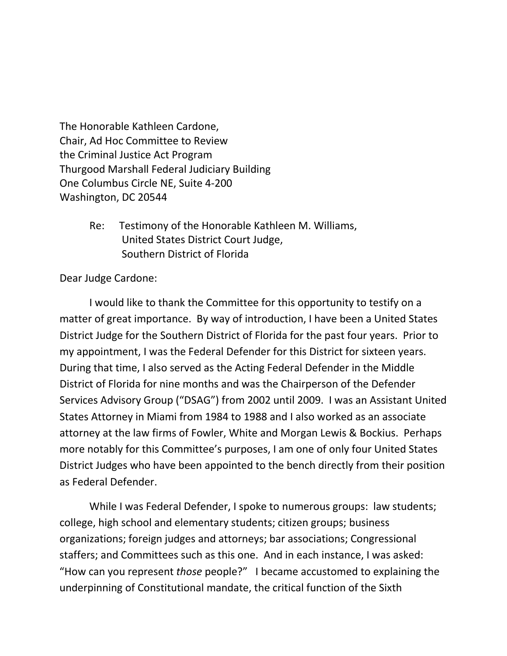The Honorable Kathleen Cardone, Chair, Ad Hoc Committee to Review the Criminal Justice Act Program Thurgood Marshall Federal Judiciary Building One Columbus Circle NE, Suite 4-200 Washington, DC 20544

> Re: Testimony of the Honorable Kathleen M. Williams, United States District Court Judge, Southern District of Florida

## Dear Judge Cardone:

I would like to thank the Committee for this opportunity to testify on a matter of great importance. By way of introduction, I have been a United States District Judge for the Southern District of Florida for the past four years. Prior to my appointment, I was the Federal Defender for this District for sixteen years. During that time, I also served as the Acting Federal Defender in the Middle District of Florida for nine months and was the Chairperson of the Defender Services Advisory Group ("DSAG") from 2002 until 2009. I was an Assistant United States Attorney in Miami from 1984 to 1988 and I also worked as an associate attorney at the law firms of Fowler, White and Morgan Lewis & Bockius. Perhaps more notably for this Committee's purposes, I am one of only four United States District Judges who have been appointed to the bench directly from their position as Federal Defender.

While I was Federal Defender, I spoke to numerous groups: law students; college, high school and elementary students; citizen groups; business organizations; foreign judges and attorneys; bar associations; Congressional staffers; and Committees such as this one. And in each instance, I was asked: "How can you represent *those* people?" I became accustomed to explaining the underpinning of Constitutional mandate, the critical function of the Sixth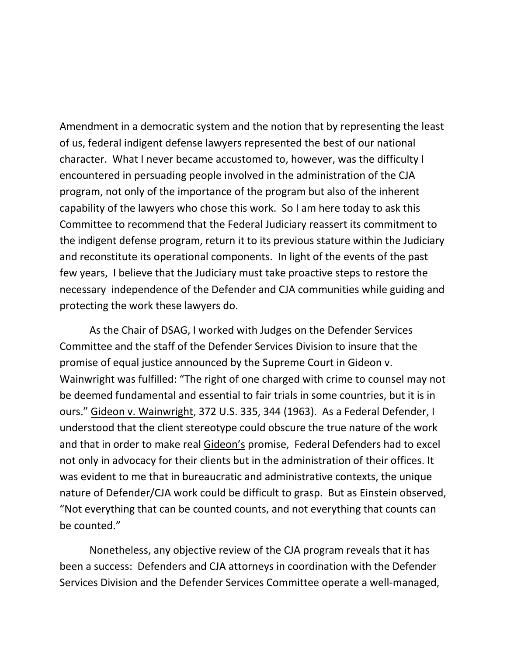Amendment in a democratic system and the notion that by representing the least of us, federal indigent defense lawyers represented the best of our national character. What I never became accustomed to, however, was the difficulty I encountered in persuading people involved in the administration of the CJA program, not only of the importance of the program but also of the inherent capability of the lawyers who chose this work. So I am here today to ask this Committee to recommend that the Federal Judiciary reassert its commitment to the indigent defense program, return it to its previous stature within the Judiciary and reconstitute its operational components. In light of the events of the past few years, I believe that the Judiciary must take proactive steps to restore the necessary independence of the Defender and CJA communities while guiding and protecting the work these lawyers do.

As the Chair of DSAG, I worked with Judges on the Defender Services Committee and the staff of the Defender Services Division to insure that the promise of equal justice announced by the Supreme Court in Gideon v. Wainwright was fulfilled: "The right of one charged with crime to counsel may not be deemed fundamental and essential to fair trials in some countries, but it is in ours." Gideon v. Wainwright, 372 U.S. 335, 344 (1963). As a Federal Defender, I understood that the client stereotype could obscure the true nature of the work and that in order to make real Gideon's promise, Federal Defenders had to excel not only in advocacy for their clients but in the administration of their offices. It was evident to me that in bureaucratic and administrative contexts, the unique nature of Defender/CJA work could be difficult to grasp. But as Einstein observed, "Not everything that can be counted counts, and not everything that counts can be counted."

Nonetheless, any objective review of the CJA program reveals that it has been a success: Defenders and CJA attorneys in coordination with the Defender Services Division and the Defender Services Committee operate a well-managed,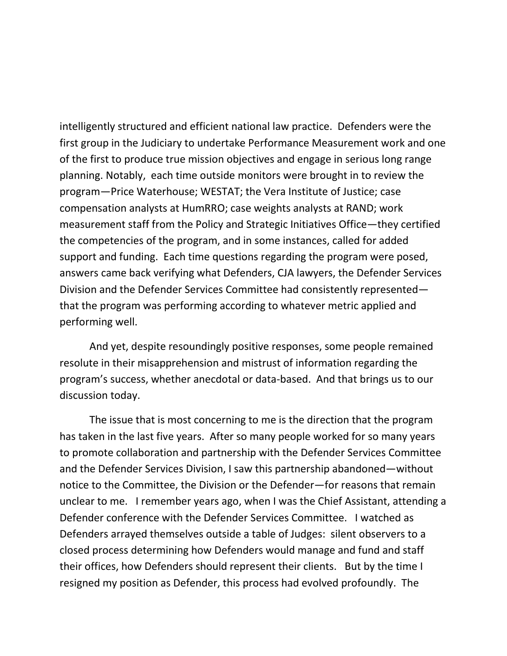intelligently structured and efficient national law practice. Defenders were the first group in the Judiciary to undertake Performance Measurement work and one of the first to produce true mission objectives and engage in serious long range planning. Notably, each time outside monitors were brought in to review the program—Price Waterhouse; WESTAT; the Vera Institute of Justice; case compensation analysts at HumRRO; case weights analysts at RAND; work measurement staff from the Policy and Strategic Initiatives Office—they certified the competencies of the program, and in some instances, called for added support and funding. Each time questions regarding the program were posed, answers came back verifying what Defenders, CJA lawyers, the Defender Services Division and the Defender Services Committee had consistently represented that the program was performing according to whatever metric applied and performing well.

And yet, despite resoundingly positive responses, some people remained resolute in their misapprehension and mistrust of information regarding the program's success, whether anecdotal or data-based. And that brings us to our discussion today.

The issue that is most concerning to me is the direction that the program has taken in the last five years. After so many people worked for so many years to promote collaboration and partnership with the Defender Services Committee and the Defender Services Division, I saw this partnership abandoned—without notice to the Committee, the Division or the Defender—for reasons that remain unclear to me. I remember years ago, when I was the Chief Assistant, attending a Defender conference with the Defender Services Committee. I watched as Defenders arrayed themselves outside a table of Judges: silent observers to a closed process determining how Defenders would manage and fund and staff their offices, how Defenders should represent their clients. But by the time I resigned my position as Defender, this process had evolved profoundly. The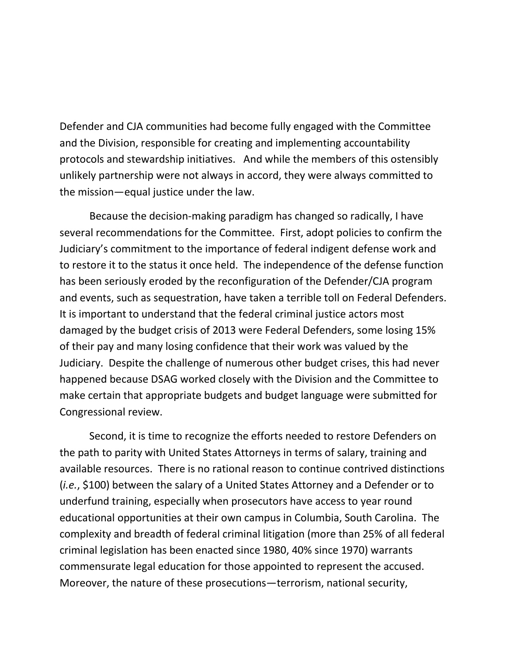Defender and CJA communities had become fully engaged with the Committee and the Division, responsible for creating and implementing accountability protocols and stewardship initiatives. And while the members of this ostensibly unlikely partnership were not always in accord, they were always committed to the mission—equal justice under the law.

Because the decision-making paradigm has changed so radically, I have several recommendations for the Committee. First, adopt policies to confirm the Judiciary's commitment to the importance of federal indigent defense work and to restore it to the status it once held. The independence of the defense function has been seriously eroded by the reconfiguration of the Defender/CJA program and events, such as sequestration, have taken a terrible toll on Federal Defenders. It is important to understand that the federal criminal justice actors most damaged by the budget crisis of 2013 were Federal Defenders, some losing 15% of their pay and many losing confidence that their work was valued by the Judiciary. Despite the challenge of numerous other budget crises, this had never happened because DSAG worked closely with the Division and the Committee to make certain that appropriate budgets and budget language were submitted for Congressional review.

Second, it is time to recognize the efforts needed to restore Defenders on the path to parity with United States Attorneys in terms of salary, training and available resources. There is no rational reason to continue contrived distinctions (*i.e.*, \$100) between the salary of a United States Attorney and a Defender or to underfund training, especially when prosecutors have access to year round educational opportunities at their own campus in Columbia, South Carolina. The complexity and breadth of federal criminal litigation (more than 25% of all federal criminal legislation has been enacted since 1980, 40% since 1970) warrants commensurate legal education for those appointed to represent the accused. Moreover, the nature of these prosecutions—terrorism, national security,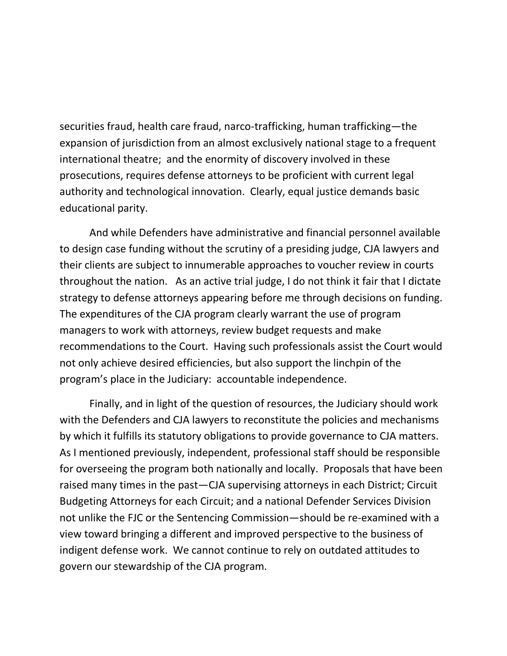securities fraud, health care fraud, narco-trafficking, human trafficking—the expansion of jurisdiction from an almost exclusively national stage to a frequent international theatre; and the enormity of discovery involved in these prosecutions, requires defense attorneys to be proficient with current legal authority and technological innovation. Clearly, equal justice demands basic educational parity.

And while Defenders have administrative and financial personnel available to design case funding without the scrutiny of a presiding judge, CJA lawyers and their clients are subject to innumerable approaches to voucher review in courts throughout the nation. As an active trial judge, I do not think it fair that I dictate strategy to defense attorneys appearing before me through decisions on funding. The expenditures of the CJA program clearly warrant the use of program managers to work with attorneys, review budget requests and make recommendations to the Court. Having such professionals assist the Court would not only achieve desired efficiencies, but also support the linchpin of the program's place in the Judiciary: accountable independence.

Finally, and in light of the question of resources, the Judiciary should work with the Defenders and CJA lawyers to reconstitute the policies and mechanisms by which it fulfills its statutory obligations to provide governance to CJA matters. As I mentioned previously, independent, professional staff should be responsible for overseeing the program both nationally and locally. Proposals that have been raised many times in the past—CJA supervising attorneys in each District; Circuit Budgeting Attorneys for each Circuit; and a national Defender Services Division not unlike the FJC or the Sentencing Commission—should be re-examined with a view toward bringing a different and improved perspective to the business of indigent defense work. We cannot continue to rely on outdated attitudes to govern our stewardship of the CJA program.